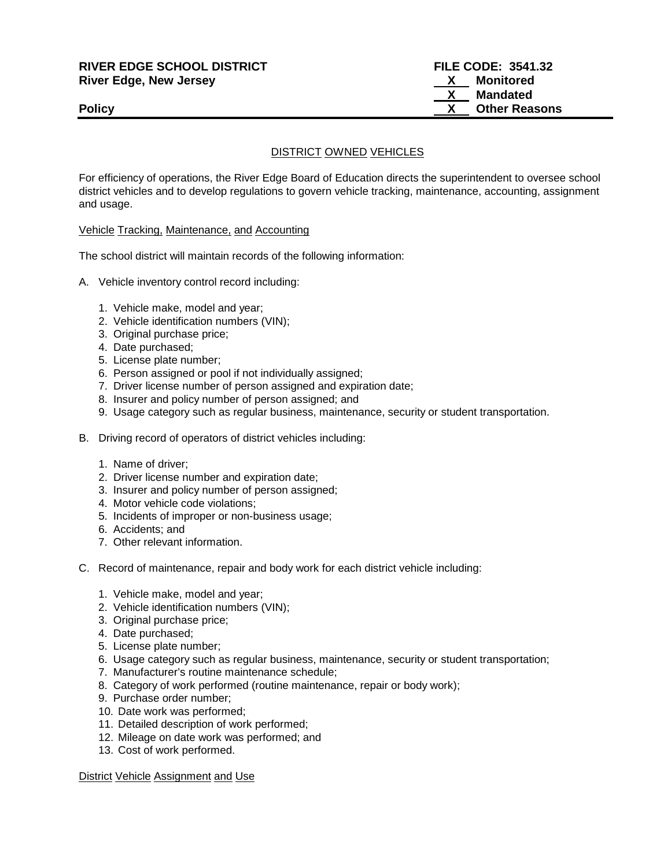# **RIVER EDGE SCHOOL DISTRICT FILE CODE: 3541.32 River Edge, New Jersey River Edge, New Jersey 19th Convention Convention Convention Convention Convention Convention Convention Convention Convention Convention Convention Convention Convention Convention Convention Co**

 **X Mandated Policy Policy Policy CONSERVANTS POLICY CONSERVANTS CONSERVANTS CONSERVANTS CONSERVANTS CONSERVANTS** 

### DISTRICT OWNED VEHICLES

For efficiency of operations, the River Edge Board of Education directs the superintendent to oversee school district vehicles and to develop regulations to govern vehicle tracking, maintenance, accounting, assignment and usage.

#### Vehicle Tracking, Maintenance, and Accounting

The school district will maintain records of the following information:

- A. Vehicle inventory control record including:
	- 1. Vehicle make, model and year;
	- 2. Vehicle identification numbers (VIN);
	- 3. Original purchase price;
	- 4. Date purchased;
	- 5. License plate number;
	- 6. Person assigned or pool if not individually assigned;
	- 7. Driver license number of person assigned and expiration date;
	- 8. Insurer and policy number of person assigned; and
	- 9. Usage category such as regular business, maintenance, security or student transportation.
- B. Driving record of operators of district vehicles including:
	- 1. Name of driver;
	- 2. Driver license number and expiration date;
	- 3. Insurer and policy number of person assigned;
	- 4. Motor vehicle code violations;
	- 5. Incidents of improper or non-business usage;
	- 6. Accidents; and
	- 7. Other relevant information.
- C. Record of maintenance, repair and body work for each district vehicle including:
	- 1. Vehicle make, model and year;
	- 2. Vehicle identification numbers (VIN);
	- 3. Original purchase price;
	- 4. Date purchased;
	- 5. License plate number;
	- 6. Usage category such as regular business, maintenance, security or student transportation;
	- 7. Manufacturer's routine maintenance schedule;
	- 8. Category of work performed (routine maintenance, repair or body work);
	- 9. Purchase order number;
	- 10. Date work was performed;
	- 11. Detailed description of work performed;
	- 12. Mileage on date work was performed; and
	- 13. Cost of work performed.

District Vehicle Assignment and Use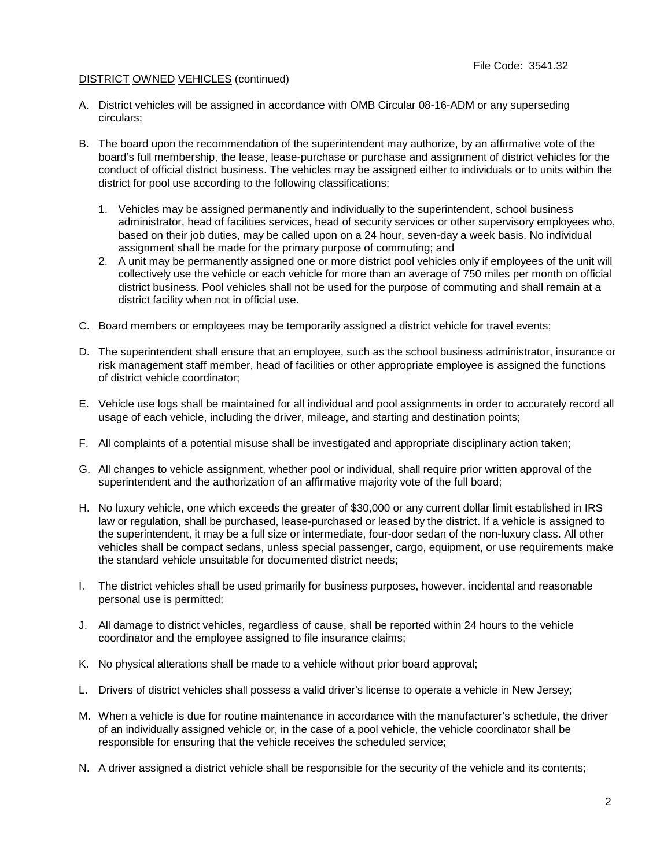#### DISTRICT OWNED VEHICLES (continued)

- A. District vehicles will be assigned in accordance with OMB Circular 08-16-ADM or any superseding circulars;
- B. The board upon the recommendation of the superintendent may authorize, by an affirmative vote of the board's full membership, the lease, lease-purchase or purchase and assignment of district vehicles for the conduct of official district business. The vehicles may be assigned either to individuals or to units within the district for pool use according to the following classifications:
	- 1. Vehicles may be assigned permanently and individually to the superintendent, school business administrator, head of facilities services, head of security services or other supervisory employees who, based on their job duties, may be called upon on a 24 hour, seven-day a week basis. No individual assignment shall be made for the primary purpose of commuting; and
	- 2. A unit may be permanently assigned one or more district pool vehicles only if employees of the unit will collectively use the vehicle or each vehicle for more than an average of 750 miles per month on official district business. Pool vehicles shall not be used for the purpose of commuting and shall remain at a district facility when not in official use.
- C. Board members or employees may be temporarily assigned a district vehicle for travel events;
- D. The superintendent shall ensure that an employee, such as the school business administrator, insurance or risk management staff member, head of facilities or other appropriate employee is assigned the functions of district vehicle coordinator;
- E. Vehicle use logs shall be maintained for all individual and pool assignments in order to accurately record all usage of each vehicle, including the driver, mileage, and starting and destination points;
- F. All complaints of a potential misuse shall be investigated and appropriate disciplinary action taken;
- G. All changes to vehicle assignment, whether pool or individual, shall require prior written approval of the superintendent and the authorization of an affirmative majority vote of the full board;
- H. No luxury vehicle, one which exceeds the greater of \$30,000 or any current dollar limit established in IRS law or regulation, shall be purchased, lease-purchased or leased by the district. If a vehicle is assigned to the superintendent, it may be a full size or intermediate, four-door sedan of the non-luxury class. All other vehicles shall be compact sedans, unless special passenger, cargo, equipment, or use requirements make the standard vehicle unsuitable for documented district needs;
- I. The district vehicles shall be used primarily for business purposes, however, incidental and reasonable personal use is permitted;
- J. All damage to district vehicles, regardless of cause, shall be reported within 24 hours to the vehicle coordinator and the employee assigned to file insurance claims;
- K. No physical alterations shall be made to a vehicle without prior board approval;
- L. Drivers of district vehicles shall possess a valid driver's license to operate a vehicle in New Jersey;
- M. When a vehicle is due for routine maintenance in accordance with the manufacturer's schedule, the driver of an individually assigned vehicle or, in the case of a pool vehicle, the vehicle coordinator shall be responsible for ensuring that the vehicle receives the scheduled service;
- N. A driver assigned a district vehicle shall be responsible for the security of the vehicle and its contents;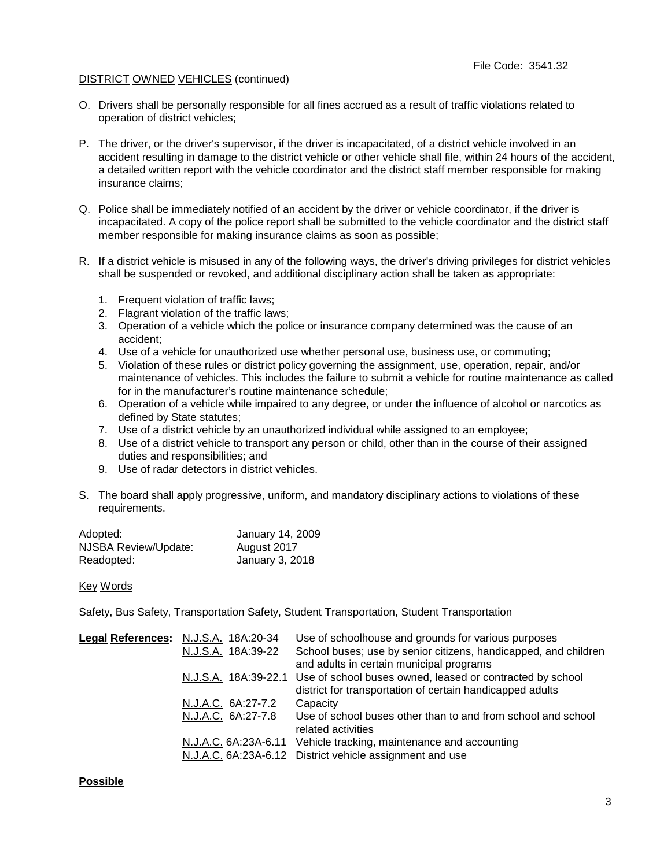#### DISTRICT OWNED VEHICLES (continued)

- O. Drivers shall be personally responsible for all fines accrued as a result of traffic violations related to operation of district vehicles;
- P. The driver, or the driver's supervisor, if the driver is incapacitated, of a district vehicle involved in an accident resulting in damage to the district vehicle or other vehicle shall file, within 24 hours of the accident, a detailed written report with the vehicle coordinator and the district staff member responsible for making insurance claims;
- Q. Police shall be immediately notified of an accident by the driver or vehicle coordinator, if the driver is incapacitated. A copy of the police report shall be submitted to the vehicle coordinator and the district staff member responsible for making insurance claims as soon as possible;
- R. If a district vehicle is misused in any of the following ways, the driver's driving privileges for district vehicles shall be suspended or revoked, and additional disciplinary action shall be taken as appropriate:
	- 1. Frequent violation of traffic laws;
	- 2. Flagrant violation of the traffic laws;
	- 3. Operation of a vehicle which the police or insurance company determined was the cause of an accident;
	- 4. Use of a vehicle for unauthorized use whether personal use, business use, or commuting;
	- 5. Violation of these rules or district policy governing the assignment, use, operation, repair, and/or maintenance of vehicles. This includes the failure to submit a vehicle for routine maintenance as called for in the manufacturer's routine maintenance schedule;
	- 6. Operation of a vehicle while impaired to any degree, or under the influence of alcohol or narcotics as defined by State statutes;
	- 7. Use of a district vehicle by an unauthorized individual while assigned to an employee;
	- 8. Use of a district vehicle to transport any person or child, other than in the course of their assigned duties and responsibilities; and
	- 9. Use of radar detectors in district vehicles.
- S. The board shall apply progressive, uniform, and mandatory disciplinary actions to violations of these requirements.

| Adopted:             | January 14, 2009 |
|----------------------|------------------|
| NJSBA Review/Update: | August 2017      |
| Readopted:           | January 3, 2018  |

#### Key Words

Safety, Bus Safety, Transportation Safety, Student Transportation, Student Transportation

| Legal References: N.J.S.A. 18A:20-34 | Use of schoolhouse and grounds for various purposes                            |
|--------------------------------------|--------------------------------------------------------------------------------|
| N.J.S.A. 18A:39-22                   | School buses; use by senior citizens, handicapped, and children                |
|                                      | and adults in certain municipal programs                                       |
|                                      | N.J.S.A. 18A:39-22.1 Use of school buses owned, leased or contracted by school |
|                                      | district for transportation of certain handicapped adults                      |
| N.J.A.C. 6A:27-7.2                   | Capacity                                                                       |
| N.J.A.C. 6A:27-7.8                   | Use of school buses other than to and from school and school                   |
|                                      | related activities                                                             |
| N.J.A.C. 6A:23A-6.11                 | Vehicle tracking, maintenance and accounting                                   |
|                                      | N.J.A.C. 6A:23A-6.12 District vehicle assignment and use                       |

#### **Possible**